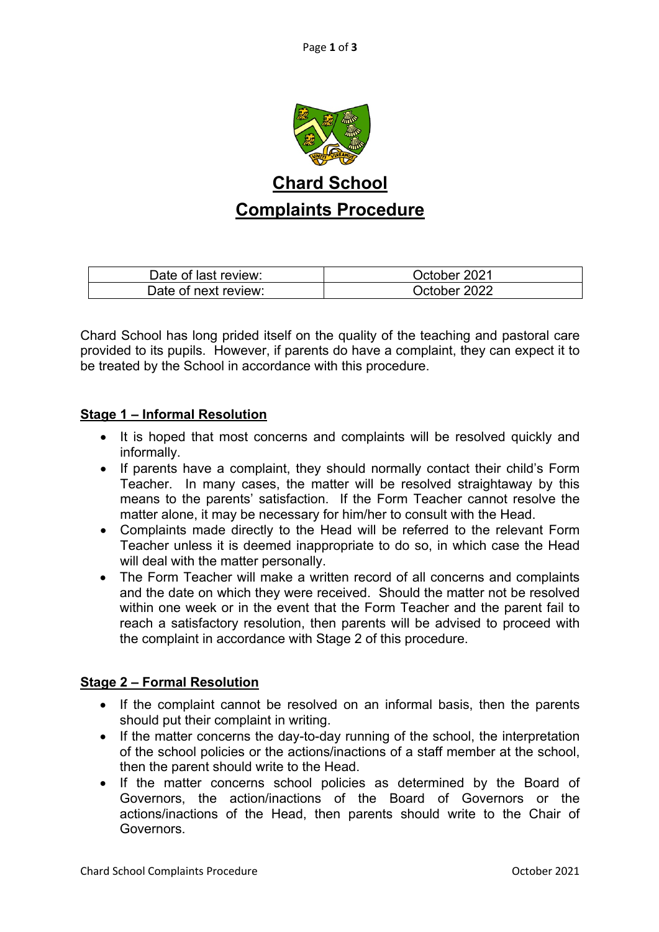

## **Chard School Complaints Procedure**

| Date of last review: | October 2021 |
|----------------------|--------------|
| Date of next review: | October 2022 |

Chard School has long prided itself on the quality of the teaching and pastoral care provided to its pupils. However, if parents do have a complaint, they can expect it to be treated by the School in accordance with this procedure.

## **Stage 1 – Informal Resolution**

- It is hoped that most concerns and complaints will be resolved quickly and informally.
- If parents have a complaint, they should normally contact their child's Form Teacher. In many cases, the matter will be resolved straightaway by this means to the parents' satisfaction. If the Form Teacher cannot resolve the matter alone, it may be necessary for him/her to consult with the Head.
- Complaints made directly to the Head will be referred to the relevant Form Teacher unless it is deemed inappropriate to do so, in which case the Head will deal with the matter personally.
- The Form Teacher will make a written record of all concerns and complaints and the date on which they were received. Should the matter not be resolved within one week or in the event that the Form Teacher and the parent fail to reach a satisfactory resolution, then parents will be advised to proceed with the complaint in accordance with Stage 2 of this procedure.

## **Stage 2 – Formal Resolution**

- If the complaint cannot be resolved on an informal basis, then the parents should put their complaint in writing.
- If the matter concerns the day-to-day running of the school, the interpretation of the school policies or the actions/inactions of a staff member at the school, then the parent should write to the Head.
- If the matter concerns school policies as determined by the Board of Governors, the action/inactions of the Board of Governors or the actions/inactions of the Head, then parents should write to the Chair of Governors.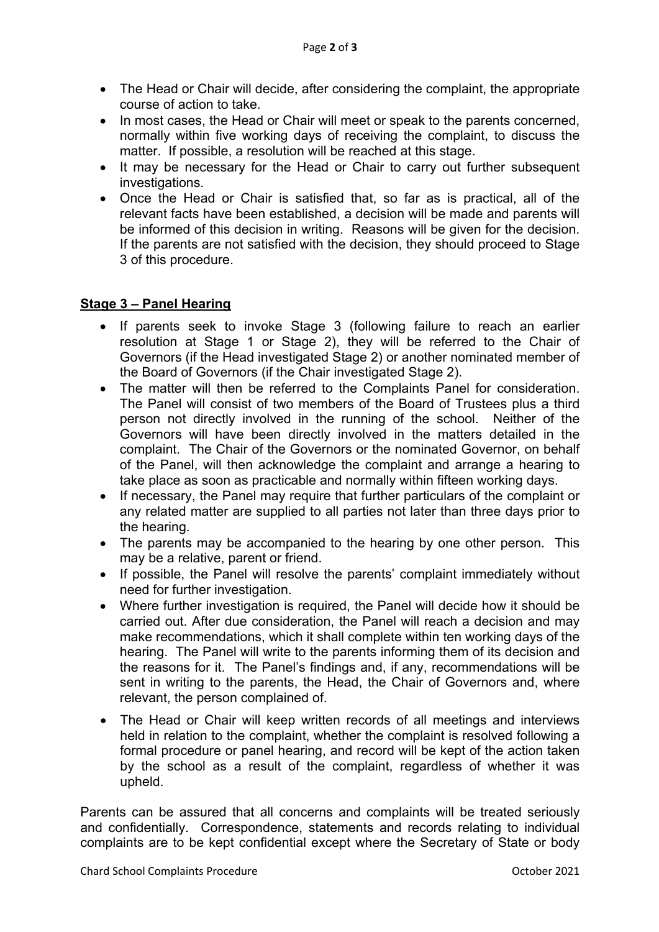- The Head or Chair will decide, after considering the complaint, the appropriate course of action to take.
- In most cases, the Head or Chair will meet or speak to the parents concerned, normally within five working days of receiving the complaint, to discuss the matter. If possible, a resolution will be reached at this stage.
- It may be necessary for the Head or Chair to carry out further subsequent investigations.
- Once the Head or Chair is satisfied that, so far as is practical, all of the relevant facts have been established, a decision will be made and parents will be informed of this decision in writing. Reasons will be given for the decision. If the parents are not satisfied with the decision, they should proceed to Stage 3 of this procedure.

## **Stage 3 – Panel Hearing**

- If parents seek to invoke Stage 3 (following failure to reach an earlier resolution at Stage 1 or Stage 2), they will be referred to the Chair of Governors (if the Head investigated Stage 2) or another nominated member of the Board of Governors (if the Chair investigated Stage 2).
- The matter will then be referred to the Complaints Panel for consideration. The Panel will consist of two members of the Board of Trustees plus a third person not directly involved in the running of the school. Neither of the Governors will have been directly involved in the matters detailed in the complaint. The Chair of the Governors or the nominated Governor, on behalf of the Panel, will then acknowledge the complaint and arrange a hearing to take place as soon as practicable and normally within fifteen working days.
- If necessary, the Panel may require that further particulars of the complaint or any related matter are supplied to all parties not later than three days prior to the hearing.
- The parents may be accompanied to the hearing by one other person. This may be a relative, parent or friend.
- If possible, the Panel will resolve the parents' complaint immediately without need for further investigation.
- Where further investigation is required, the Panel will decide how it should be carried out. After due consideration, the Panel will reach a decision and may make recommendations, which it shall complete within ten working days of the hearing. The Panel will write to the parents informing them of its decision and the reasons for it. The Panel's findings and, if any, recommendations will be sent in writing to the parents, the Head, the Chair of Governors and, where relevant, the person complained of.
- The Head or Chair will keep written records of all meetings and interviews held in relation to the complaint, whether the complaint is resolved following a formal procedure or panel hearing, and record will be kept of the action taken by the school as a result of the complaint, regardless of whether it was upheld.

Parents can be assured that all concerns and complaints will be treated seriously and confidentially. Correspondence, statements and records relating to individual complaints are to be kept confidential except where the Secretary of State or body